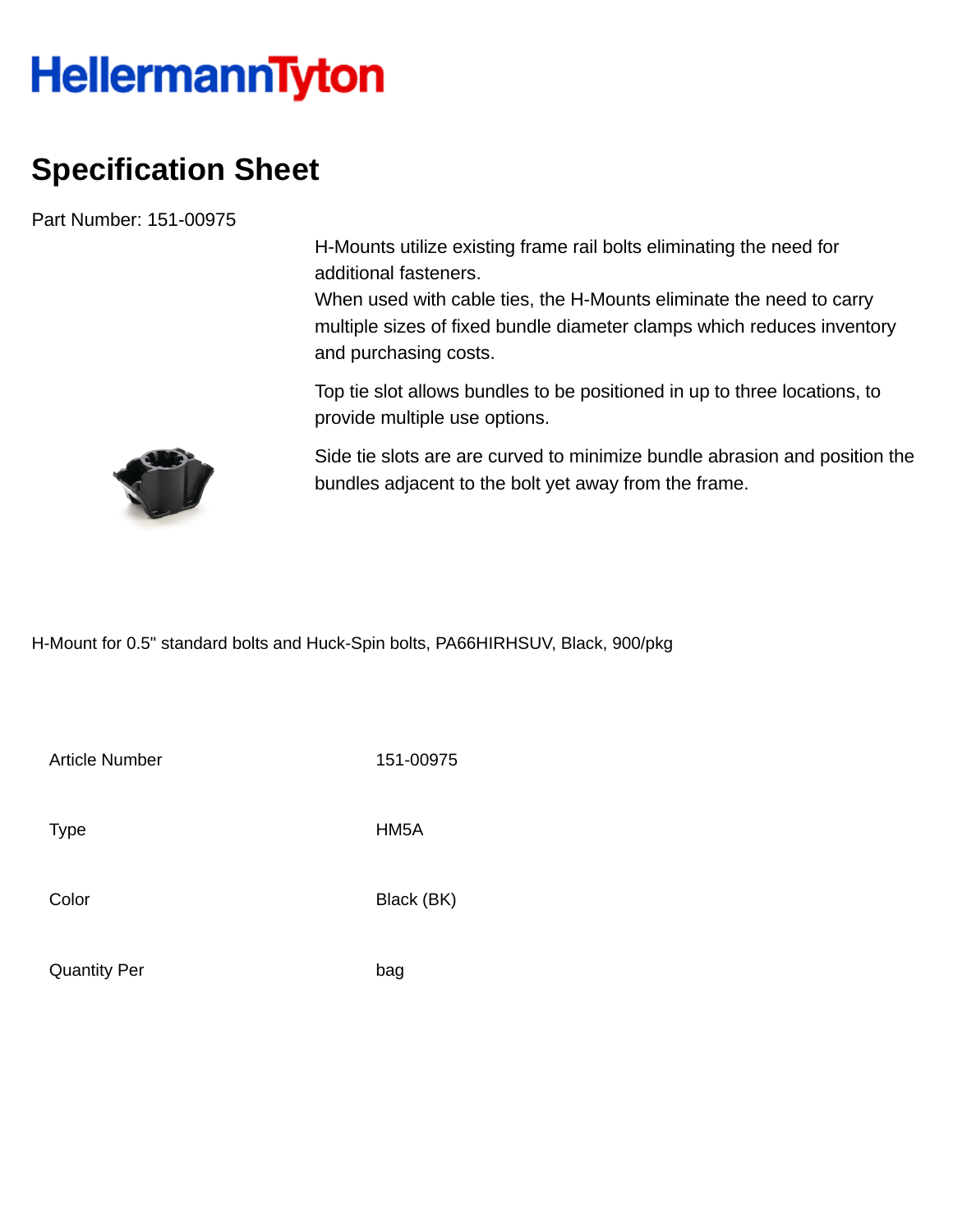## **HellermannTyton**

## **Specification Sheet**

Part Number: 151-00975

H-Mounts utilize existing frame rail bolts eliminating the need for additional fasteners.

When used with cable ties, the H-Mounts eliminate the need to carry multiple sizes of fixed bundle diameter clamps which reduces inventory and purchasing costs.

Top tie slot allows bundles to be positioned in up to three locations, to provide multiple use options.



Side tie slots are are curved to minimize bundle abrasion and position the bundles adjacent to the bolt yet away from the frame.

H-Mount for 0.5" standard bolts and Huck-Spin bolts, PA66HIRHSUV, Black, 900/pkg

Article Number 151-00975

Type HM5A

Color Black (BK)

Quantity Per bag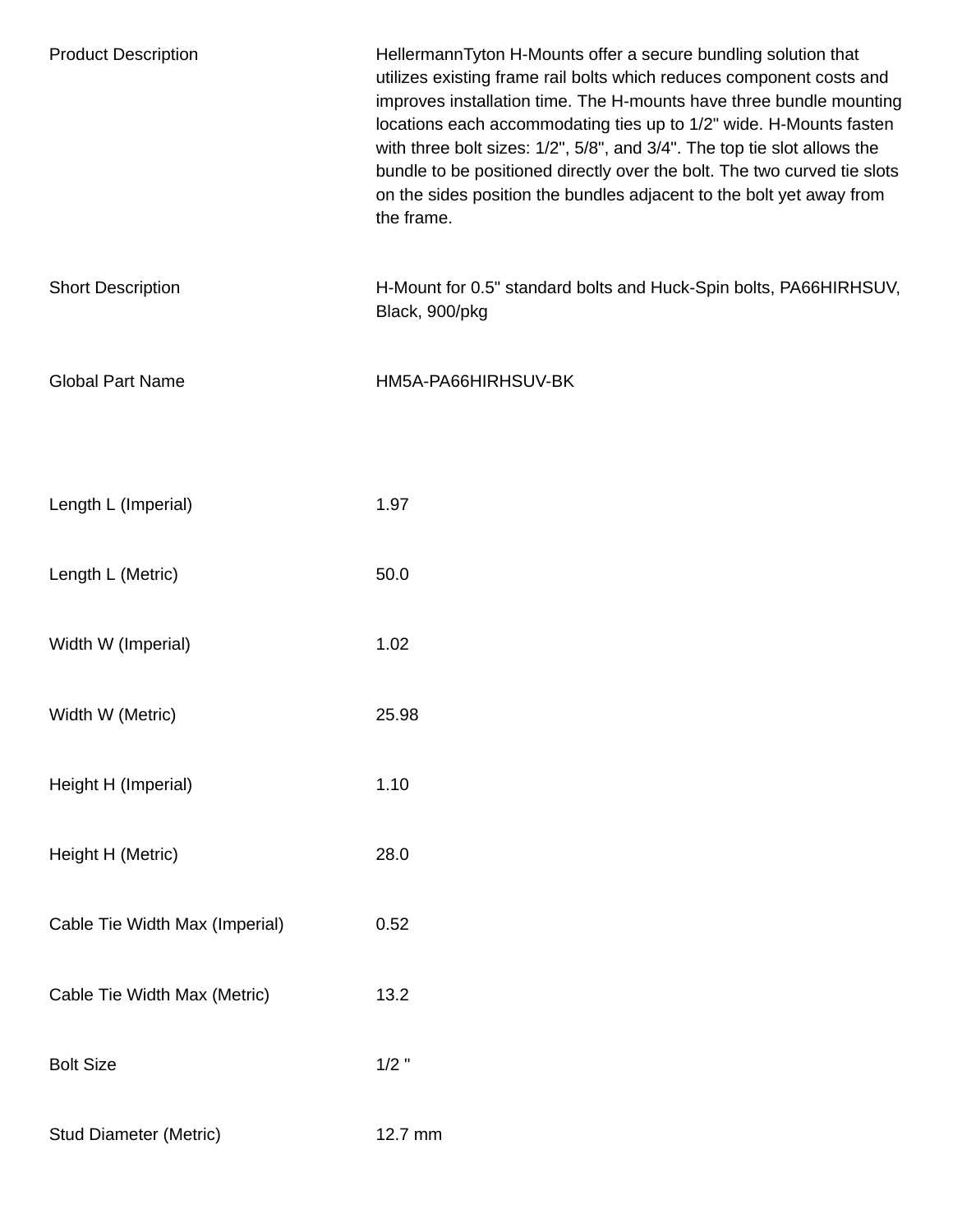| <b>Product Description</b>     | HellermannTyton H-Mounts offer a secure bundling solution that<br>utilizes existing frame rail bolts which reduces component costs and<br>improves installation time. The H-mounts have three bundle mounting<br>locations each accommodating ties up to 1/2" wide. H-Mounts fasten<br>with three bolt sizes: 1/2", 5/8", and 3/4". The top tie slot allows the<br>bundle to be positioned directly over the bolt. The two curved tie slots<br>on the sides position the bundles adjacent to the bolt yet away from<br>the frame. |
|--------------------------------|-----------------------------------------------------------------------------------------------------------------------------------------------------------------------------------------------------------------------------------------------------------------------------------------------------------------------------------------------------------------------------------------------------------------------------------------------------------------------------------------------------------------------------------|
| <b>Short Description</b>       | H-Mount for 0.5" standard bolts and Huck-Spin bolts, PA66HIRHSUV,<br>Black, 900/pkg                                                                                                                                                                                                                                                                                                                                                                                                                                               |
| <b>Global Part Name</b>        | HM5A-PA66HIRHSUV-BK                                                                                                                                                                                                                                                                                                                                                                                                                                                                                                               |
| Length L (Imperial)            | 1.97                                                                                                                                                                                                                                                                                                                                                                                                                                                                                                                              |
| Length L (Metric)              | 50.0                                                                                                                                                                                                                                                                                                                                                                                                                                                                                                                              |
| Width W (Imperial)             | 1.02                                                                                                                                                                                                                                                                                                                                                                                                                                                                                                                              |
| Width W (Metric)               | 25.98                                                                                                                                                                                                                                                                                                                                                                                                                                                                                                                             |
| Height H (Imperial)            | 1.10                                                                                                                                                                                                                                                                                                                                                                                                                                                                                                                              |
| Height H (Metric)              | 28.0                                                                                                                                                                                                                                                                                                                                                                                                                                                                                                                              |
| Cable Tie Width Max (Imperial) | 0.52                                                                                                                                                                                                                                                                                                                                                                                                                                                                                                                              |
| Cable Tie Width Max (Metric)   | 13.2                                                                                                                                                                                                                                                                                                                                                                                                                                                                                                                              |
| <b>Bolt Size</b>               | $1/2$ "                                                                                                                                                                                                                                                                                                                                                                                                                                                                                                                           |
| <b>Stud Diameter (Metric)</b>  | 12.7 mm                                                                                                                                                                                                                                                                                                                                                                                                                                                                                                                           |